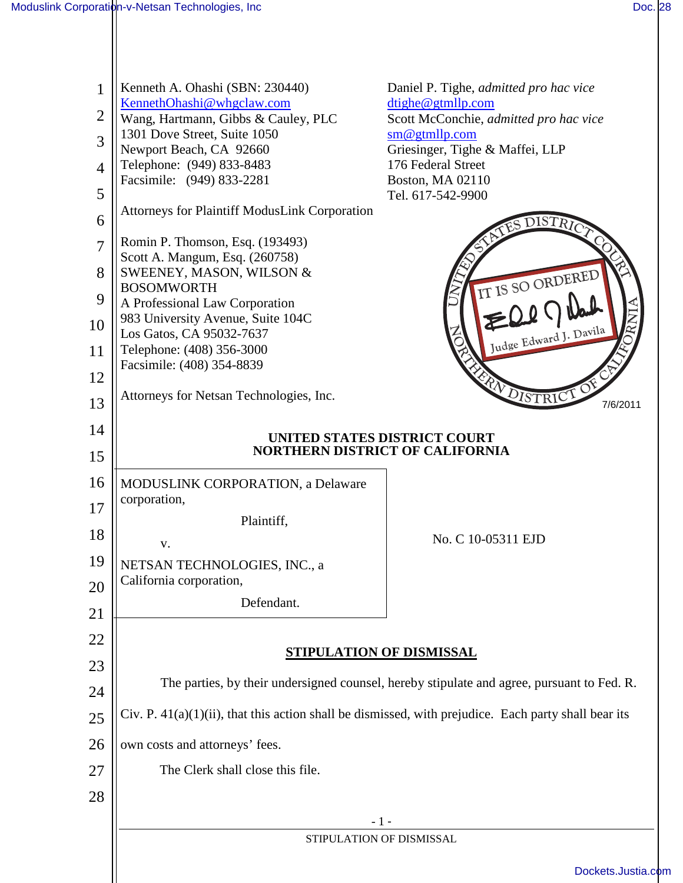| 1              | Kenneth A. Ohashi (SBN: 230440)                                                                            | Daniel P. Tighe, <i>admitted pro hac vice</i>               |  |
|----------------|------------------------------------------------------------------------------------------------------------|-------------------------------------------------------------|--|
| $\overline{2}$ | KennethOhashi@whgclaw.com<br>Wang, Hartmann, Gibbs & Cauley, PLC                                           | dtighe@gtmllp.com<br>Scott McConchie, admitted pro hac vice |  |
| 3              | 1301 Dove Street, Suite 1050                                                                               | sm@gtmllp.com                                               |  |
|                | Newport Beach, CA 92660<br>Telephone: (949) 833-8483                                                       | Griesinger, Tighe & Maffei, LLP<br>176 Federal Street       |  |
| $\overline{4}$ | Facsimile: (949) 833-2281                                                                                  | <b>Boston, MA 02110</b>                                     |  |
| 5              | <b>Attorneys for Plaintiff ModusLink Corporation</b>                                                       | Tel. 617-542-9900                                           |  |
| 6              |                                                                                                            | $\operatorname{ISTR}$                                       |  |
| $\overline{7}$ | Romin P. Thomson, Esq. (193493)<br>Scott A. Mangum, Esq. (260758)                                          |                                                             |  |
| 8              | SWEENEY, MASON, WILSON &<br><b>BOSOMWORTH</b>                                                              | IT IS SO ORDERED                                            |  |
| 9              | A Professional Law Corporation                                                                             |                                                             |  |
| 10             | 983 University Avenue, Suite 104C<br>Los Gatos, CA 95032-7637                                              | Judge Edward J. Davila                                      |  |
| 11             | Telephone: (408) 356-3000                                                                                  |                                                             |  |
| 12             | Facsimile: (408) 354-8839                                                                                  |                                                             |  |
| 13             | Attorneys for Netsan Technologies, Inc.                                                                    | <b>EXPLOISTRICT</b><br>7/6/2011                             |  |
| 14             |                                                                                                            | UNITED STATES DISTRICT COURT                                |  |
| 15             |                                                                                                            | <b>NORTHERN DISTRICT OF CALIFORNIA</b>                      |  |
| 16             | <b>MODUSLINK CORPORATION, a Delaware</b>                                                                   |                                                             |  |
| 17             | corporation,                                                                                               |                                                             |  |
| 18             | Plaintiff,                                                                                                 | No. C 10-05311 EJD                                          |  |
| 19             | v.                                                                                                         |                                                             |  |
| 20             | NETSAN TECHNOLOGIES, INC., a<br>California corporation,                                                    |                                                             |  |
|                | Defendant.                                                                                                 |                                                             |  |
| 21             |                                                                                                            |                                                             |  |
| 22             |                                                                                                            | <b>STIPULATION OF DISMISSAL</b>                             |  |
| 23             | The parties, by their undersigned counsel, hereby stipulate and agree, pursuant to Fed. R.                 |                                                             |  |
| 24             |                                                                                                            |                                                             |  |
| 25             | $Civ$ . P. $41(a)(1)(ii)$ , that this action shall be dismissed, with prejudice. Each party shall bear its |                                                             |  |
| 26             | own costs and attorneys' fees.                                                                             |                                                             |  |
| 27             | The Clerk shall close this file.                                                                           |                                                             |  |
| 28             |                                                                                                            |                                                             |  |
|                | $-1-$<br>STIPULATION OF DISMISSAL                                                                          |                                                             |  |
|                |                                                                                                            |                                                             |  |
|                |                                                                                                            | Dockets.Justia.o                                            |  |